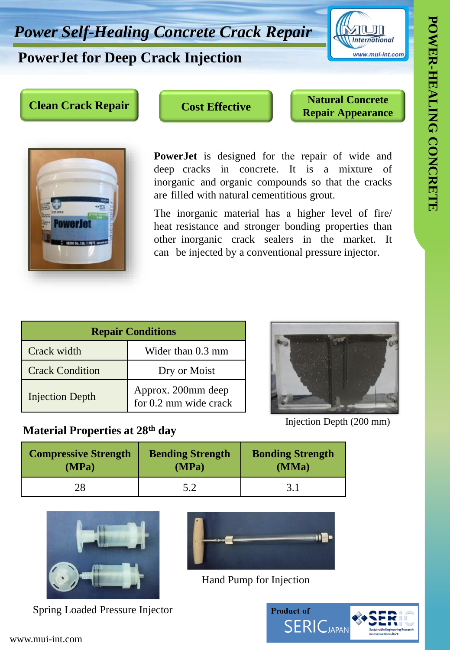# *Power Self-Healing Concrete Crack Repair*

# **PowerJet for Deep Crack Injection**

**ANUTH** International www.mui-int.com

### **Clean Crack Repair**

**Natural Concrete Repair Appearance Cost Effective**

**PowerJet** is designed for the repair of wide and deep cracks in concrete. It is a mixture of inorganic and organic compounds so that the cracks are filled with natural cementitious grout.

The inorganic material has a higher level of fire/ heat resistance and stronger bonding properties than other inorganic crack sealers in the market. It can be injected by a conventional pressure injector.

| <b>Repair Conditions</b> |                                             |  |
|--------------------------|---------------------------------------------|--|
| Crack width              | Wider than 0.3 mm                           |  |
| <b>Crack Condition</b>   | Dry or Moist                                |  |
| <b>Injection Depth</b>   | Approx. 200mm deep<br>for 0.2 mm wide crack |  |

#### **Material Properties at 28th day**



Injection Depth (200 mm)

| <b>Compressive Strength</b> | <b>Bending Strength</b> | <b>Bonding Strength</b> |
|-----------------------------|-------------------------|-------------------------|
| (MPa)                       | (MPa)                   | (MMa)                   |
|                             |                         |                         |



Spring Loaded Pressure Injector



Hand Pump for Injection